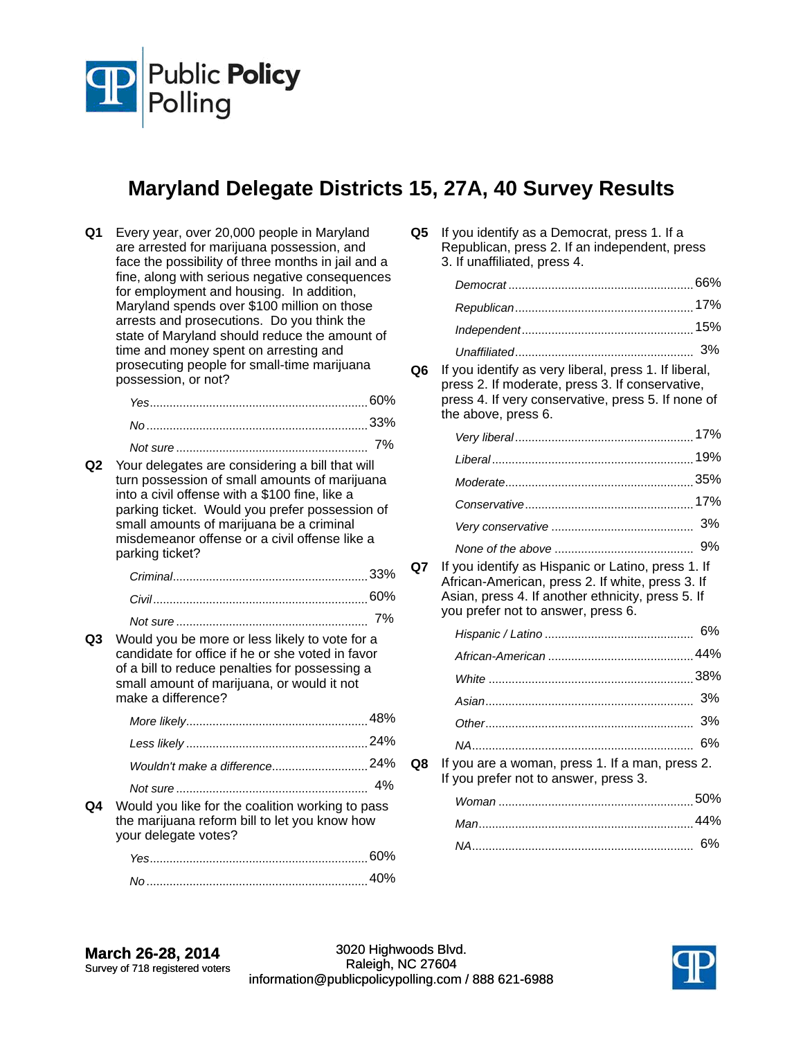

## **Maryland Delegate Districts 15, 27A, 40 Survey Results**

| Q1 | Every year, over 20,000 people in Maryland<br>are arrested for marijuana possession, and<br>face the possibility of three months in jail and a<br>fine, along with serious negative consequences<br>for employment and housing. In addition,<br>Maryland spends over \$100 million on those<br>arrests and prosecutions. Do you think the<br>state of Maryland should reduce the amount of<br>time and money spent on arresting and<br>prosecuting people for small-time marijuana<br>possession, or not? |    |
|----|-----------------------------------------------------------------------------------------------------------------------------------------------------------------------------------------------------------------------------------------------------------------------------------------------------------------------------------------------------------------------------------------------------------------------------------------------------------------------------------------------------------|----|
|    |                                                                                                                                                                                                                                                                                                                                                                                                                                                                                                           |    |
|    |                                                                                                                                                                                                                                                                                                                                                                                                                                                                                                           |    |
|    |                                                                                                                                                                                                                                                                                                                                                                                                                                                                                                           | 7% |
| Q2 | Your delegates are considering a bill that will<br>turn possession of small amounts of marijuana<br>into a civil offense with a \$100 fine, like a<br>parking ticket. Would you prefer possession of<br>small amounts of marijuana be a criminal<br>misdemeanor offense or a civil offense like a<br>parking ticket?                                                                                                                                                                                      |    |
|    |                                                                                                                                                                                                                                                                                                                                                                                                                                                                                                           |    |
|    |                                                                                                                                                                                                                                                                                                                                                                                                                                                                                                           |    |
|    |                                                                                                                                                                                                                                                                                                                                                                                                                                                                                                           |    |
| Q3 | Would you be more or less likely to vote for a<br>candidate for office if he or she voted in favor<br>of a bill to reduce penalties for possessing a<br>small amount of marijuana, or would it not<br>make a difference?                                                                                                                                                                                                                                                                                  |    |
|    |                                                                                                                                                                                                                                                                                                                                                                                                                                                                                                           |    |
|    |                                                                                                                                                                                                                                                                                                                                                                                                                                                                                                           |    |
|    | Wouldn't make a difference24%                                                                                                                                                                                                                                                                                                                                                                                                                                                                             |    |
|    |                                                                                                                                                                                                                                                                                                                                                                                                                                                                                                           |    |
| Q4 | Would you like for the coalition working to pass<br>the marijuana reform bill to let you know how<br>your delegate votes?                                                                                                                                                                                                                                                                                                                                                                                 |    |
|    |                                                                                                                                                                                                                                                                                                                                                                                                                                                                                                           |    |
|    |                                                                                                                                                                                                                                                                                                                                                                                                                                                                                                           |    |

**Q5** If you identify as a Democrat, press 1. If a Republican, press 2. If an independent, press 3. If unaffiliated, press 4.

**Q6** If you identify as very liberal, press 1. If liberal, press 2. If moderate, press 3. If conservative, press 4. If very conservative, press 5. If none of the above, press 6.

**Q7** If you identify as Hispanic or Latino, press 1. If African-American, press 2. If white, press 3. If Asian, press 4. If another ethnicity, press 5. If you prefer not to answer, press 6.

| $\epsilon$ . The company is a set of the set of $\alpha$ |  |
|----------------------------------------------------------|--|

**Q8** If you are a woman, press 1. If a man, press 2. If you prefer not to answer, press 3.

| 44% |
|-----|
|     |

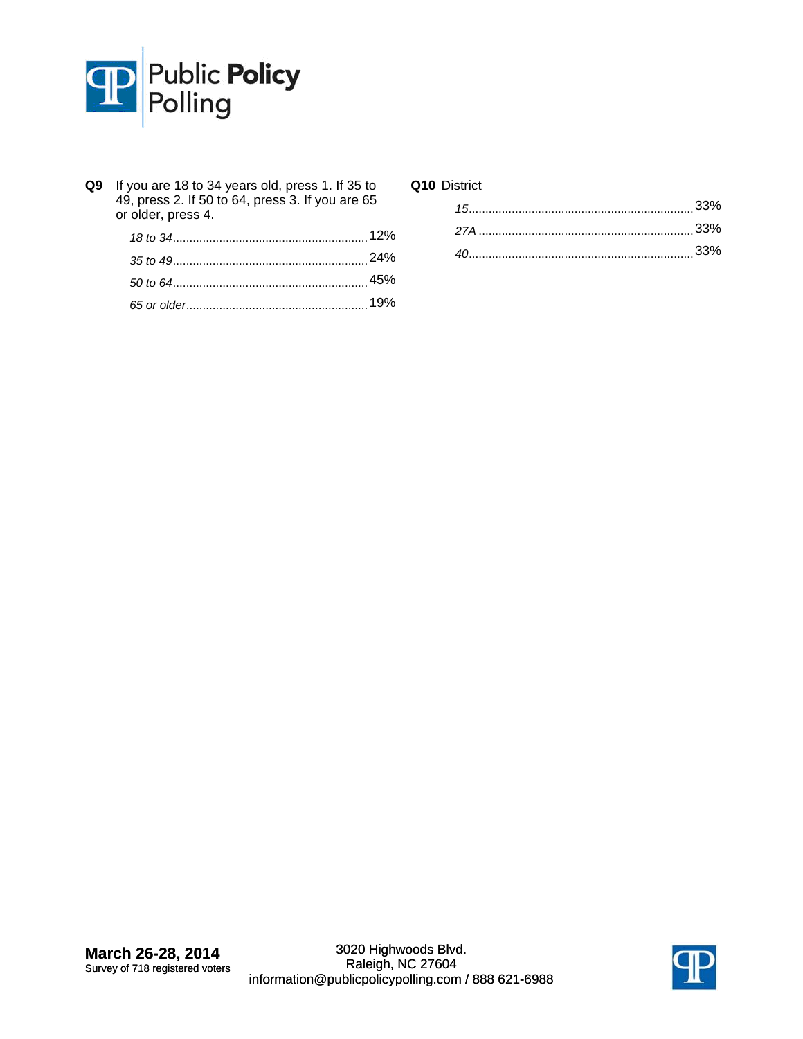

**Q9** If you are 18 to 34 years old, press 1. If 35 to 49, press 2. If 50 to 64, press 3. If you are 65 or older, press 4.

## **Q10** District

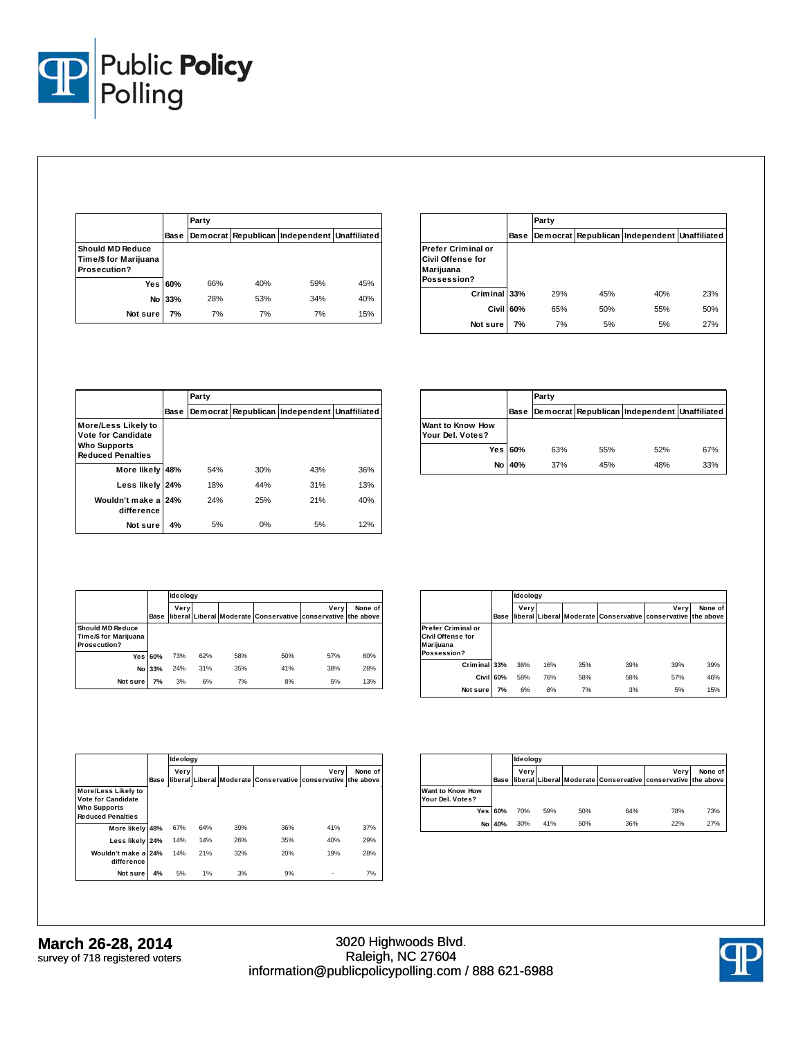

|                                                                  |         | Party |                                              |     |     |  |  |  |
|------------------------------------------------------------------|---------|-------|----------------------------------------------|-----|-----|--|--|--|
|                                                                  | Base    |       | Democrat Republican Independent Unaffiliated |     |     |  |  |  |
| <b>Should MD Reduce</b><br>Time/\$ for Marijuana<br>Prosecution? |         |       |                                              |     |     |  |  |  |
|                                                                  | Yes 60% | 66%   | 40%                                          | 59% | 45% |  |  |  |
| No                                                               | 33%     | 28%   | 53%                                          | 34% | 40% |  |  |  |
| Not sure                                                         | 7%      | 7%    | 7%                                           | 7%  | 15% |  |  |  |

|                                                                            |      | Party |     |                                              |     |  |  |
|----------------------------------------------------------------------------|------|-------|-----|----------------------------------------------|-----|--|--|
|                                                                            | Base |       |     | Democrat Republican Independent Unaffiliated |     |  |  |
| <b>Prefer Criminal or</b><br>Civil Offense for<br>Marijuana<br>Possession? |      |       |     |                                              |     |  |  |
| Criminal 33%                                                               |      | 29%   | 45% | 40%                                          | 23% |  |  |
| <b>Civil</b>                                                               | 60%  | 65%   | 50% | 55%                                          | 50% |  |  |
| Not sure                                                                   | 7%   | 7%    | 5%  | 5%                                           | 27% |  |  |

|                                                                                                     |      | Party |     |                                              |     |  |  |  |
|-----------------------------------------------------------------------------------------------------|------|-------|-----|----------------------------------------------|-----|--|--|--|
|                                                                                                     | Base |       |     | Democrat Republican Independent Unaffiliated |     |  |  |  |
| More/Less Likely to<br><b>Vote for Candidate</b><br><b>Who Supports</b><br><b>Reduced Penalties</b> |      |       |     |                                              |     |  |  |  |
| More likely                                                                                         | 48%  | 54%   | 30% | 43%                                          | 36% |  |  |  |
| Less likely                                                                                         | 24%  | 18%   | 44% | 31%                                          | 13% |  |  |  |
| Wouldn't make a<br>difference                                                                       | 24%  | 24%   | 25% | 21%                                          | 40% |  |  |  |
| Not sure                                                                                            | 4%   | 5%    | 0%  | 5%                                           | 12% |  |  |  |

|                                      |                | Party |     |                                              |     |  |  |  |
|--------------------------------------|----------------|-------|-----|----------------------------------------------|-----|--|--|--|
|                                      | Base           |       |     | Democrat Republican Independent Unaffiliated |     |  |  |  |
| Want to Know How<br>Your Del. Votes? |                |       |     |                                              |     |  |  |  |
|                                      | <b>Yes 60%</b> | 63%   | 55% | 52%                                          | 67% |  |  |  |
| No l                                 | 40%            | 37%   | 45% | 48%                                          | 33% |  |  |  |

|                                                                  |             |      | Ideology |     |                                                              |      |         |  |  |
|------------------------------------------------------------------|-------------|------|----------|-----|--------------------------------------------------------------|------|---------|--|--|
|                                                                  | <b>Base</b> | Verv |          |     | liberal Liberal Moderate Conservative conservative the above | Verv | None of |  |  |
| <b>Should MD Reduce</b><br>Time/\$ for Marijuana<br>Prosecution? |             |      |          |     |                                                              |      |         |  |  |
| Yesl                                                             | 60%         | 73%  | 62%      | 58% | 50%                                                          | 57%  | 60%     |  |  |
| No l                                                             | 33%         | 24%  | 31%      | 35% | 41%                                                          | 38%  | 28%     |  |  |
| Not sure                                                         | 7%          | 3%   | 6%       | 7%  | 8%                                                           | 5%   | 13%     |  |  |

|                                                                            |      | ldeology |     |     |                                                              |      |         |
|----------------------------------------------------------------------------|------|----------|-----|-----|--------------------------------------------------------------|------|---------|
|                                                                            | Base | Verv     |     |     | liberal Liberal Moderate Conservative conservative the above | Verv | None of |
| <b>Prefer Criminal or</b><br>Civil Offense for<br>Marijuana<br>Possession? |      |          |     |     |                                                              |      |         |
| Criminal 33%                                                               |      | 36%      | 16% | 35% | 39%                                                          | 39%  | 39%     |
| Civil 60%                                                                  |      | 58%      | 76% | 58% | 58%                                                          | 57%  | 46%     |
| Not sure                                                                   | 7%   | 6%       | 8%  | 7%  | 3%                                                           | 5%   | 15%     |

|                                                                                              |      | ldeology |     |     |                                                              |      |         |
|----------------------------------------------------------------------------------------------|------|----------|-----|-----|--------------------------------------------------------------|------|---------|
|                                                                                              | Base | Very     |     |     | liberal Liberal Moderate Conservative conservative the above | Verv | None of |
| More/Less Likely to<br>Vote for Candidate<br><b>Who Supports</b><br><b>Reduced Penalties</b> |      |          |     |     |                                                              |      |         |
| More likely 48%                                                                              |      | 67%      | 64% | 39% | 36%                                                          | 41%  | 37%     |
| Less likely                                                                                  | 24%  | 14%      | 14% | 26% | 35%                                                          | 40%  | 29%     |
| Wouldn't make a 24%<br>difference                                                            |      | 14%      | 21% | 32% | 20%                                                          | 19%  | 28%     |
| Not sure                                                                                     | 4%   | 5%       | 1%  | 3%  | 9%                                                           | -    | 7%      |

|                                             |             |      | Ideology |     |                                                               |      |         |  |  |  |
|---------------------------------------------|-------------|------|----------|-----|---------------------------------------------------------------|------|---------|--|--|--|
|                                             | <b>Base</b> | Verv |          |     | lliberal Liberal Moderate Conservative conservative the above | Verv | None of |  |  |  |
| <b>Want to Know How</b><br>Your Del. Votes? |             |      |          |     |                                                               |      |         |  |  |  |
|                                             | Yes 60%     | 70%  | 59%      | 50% | 64%                                                           | 78%  | 73%     |  |  |  |
|                                             | No 40%      | 30%  | 41%      | 50% | 36%                                                           | 22%  | 27%     |  |  |  |

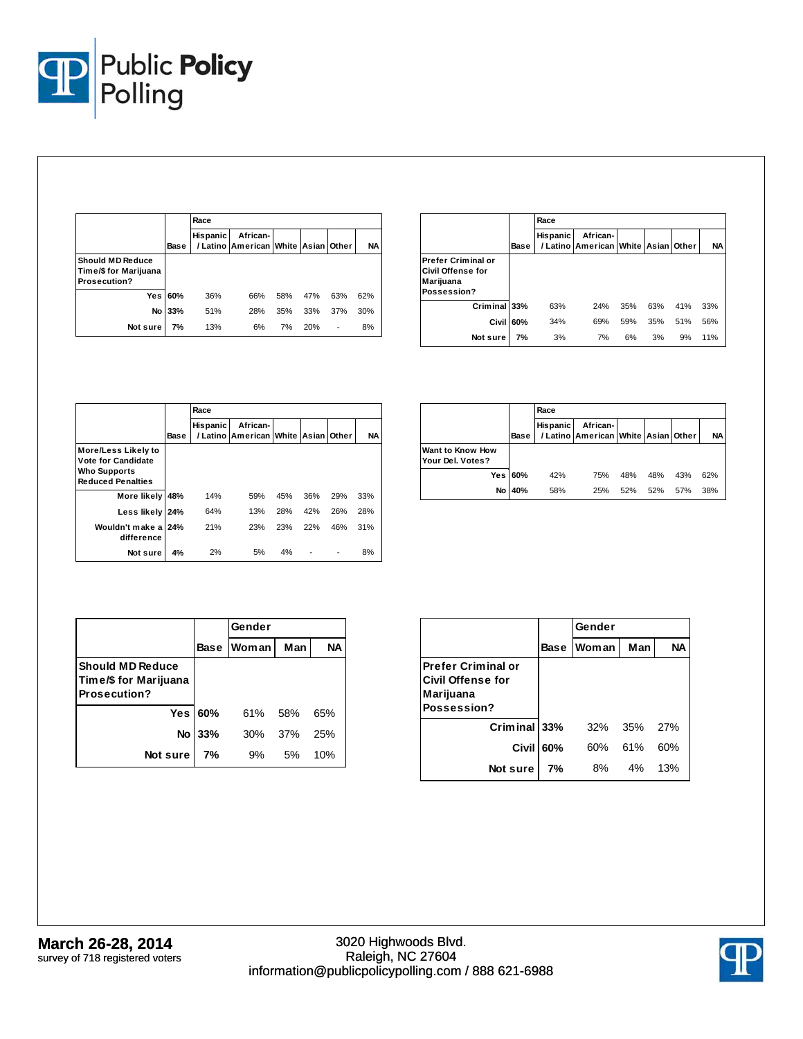

|                                                                  |      | Race     |                                                         |     |     |                          |           |  |  |
|------------------------------------------------------------------|------|----------|---------------------------------------------------------|-----|-----|--------------------------|-----------|--|--|
|                                                                  | Base | Hispanic | African-<br>/ Latino   American   White   Asian   Other |     |     |                          | <b>NA</b> |  |  |
| <b>Should MD Reduce</b><br>Time/\$ for Marijuana<br>Prosecution? |      |          |                                                         |     |     |                          |           |  |  |
| Yes                                                              | 60%  | 36%      | 66%                                                     | 58% | 47% | 63%                      | 62%       |  |  |
| No                                                               | 33%  | 51%      | 28%                                                     | 35% | 33% | 37%                      | 30%       |  |  |
| Not sure                                                         | 7%   | 13%      | 6%                                                      | 7%  | 20% | $\overline{\phantom{a}}$ | 8%        |  |  |

|                                                                                   |      | Race            |                                                 |     |     |     |           |  |  |
|-----------------------------------------------------------------------------------|------|-----------------|-------------------------------------------------|-----|-----|-----|-----------|--|--|
|                                                                                   | Base | <b>Hispanic</b> | African-<br>/ Latino American White Asian Other |     |     |     | <b>NA</b> |  |  |
| <b>Prefer Criminal or</b><br>Civil Offense for<br><b>Marijuana</b><br>Possession? |      |                 |                                                 |     |     |     |           |  |  |
| Criminal 33%                                                                      |      | 63%             | 24%                                             | 35% | 63% | 41% | 33%       |  |  |
| Civil                                                                             | 60%  | 34%             | 69%                                             | 59% | 35% | 51% | 56%       |  |  |
| Not sure                                                                          | 7%   | 3%              | 7%                                              | 6%  | 3%  | 9%  | 11%       |  |  |

|                                                                                              |      | Race     |                                                 |     |     |       |           |  |  |
|----------------------------------------------------------------------------------------------|------|----------|-------------------------------------------------|-----|-----|-------|-----------|--|--|
|                                                                                              | Base | Hispanic | African-<br>/ Latino   American   White   Asian |     |     | Other | <b>NA</b> |  |  |
| More/Less Likely to<br>Vote for Candidate<br><b>Who Supports</b><br><b>Reduced Penalties</b> |      |          |                                                 |     |     |       |           |  |  |
| More likely                                                                                  | 48%  | 14%      | 59%                                             | 45% | 36% | 29%   | 33%       |  |  |
| Less likely                                                                                  | 24%  | 64%      | 13%                                             | 28% | 42% | 26%   | 28%       |  |  |
| Wouldn't make a<br>difference                                                                | 24%  | 21%      | 23%                                             | 23% | 22% | 46%   | 31%       |  |  |
| Not sure                                                                                     | 4%   | 2%       | 5%                                              | 4%  |     |       | 8%        |  |  |

|                                      |      | Race            |                                                 |     |     |     |           |  |  |
|--------------------------------------|------|-----------------|-------------------------------------------------|-----|-----|-----|-----------|--|--|
|                                      | Base | <b>Hispanic</b> | African-<br>/ Latino American White Asian Other |     |     |     | <b>NA</b> |  |  |
| Want to Know How<br>Your Del. Votes? |      |                 |                                                 |     |     |     |           |  |  |
| <b>Yes</b>                           | 60%  | 42%             | 75%                                             | 48% | 48% | 43% | 62%       |  |  |
| No                                   | 40%  | 58%             | 25%                                             | 52% | 52% | 57% | 38%       |  |  |

|                                                                         |         | Gender            |       |           |
|-------------------------------------------------------------------------|---------|-------------------|-------|-----------|
|                                                                         |         | <b>Base Woman</b> | Man   | <b>NA</b> |
| <b>Should MD Reduce</b><br>Time/\$ for Marijuana<br><b>Prosecution?</b> |         |                   |       |           |
|                                                                         | Yes 60% | 61% 58%           |       | 65%       |
| No                                                                      | 33%     | 30%               | - 37% | 25%       |
| Not sure                                                                | 7%      | 9%                | 5%    | 10%       |

|                                                                            |      | Gender       |     |           |
|----------------------------------------------------------------------------|------|--------------|-----|-----------|
|                                                                            | Base | <b>Woman</b> | Man | <b>NA</b> |
| <b>Prefer Criminal or</b><br>Civil Offense for<br>Marijuana<br>Possession? |      |              |     |           |
| Criminal 33%                                                               |      | 32%          | 35% | 27%       |
| Civil                                                                      | 60%  | 60%          | 61% | 60%       |
| Not sure                                                                   | 7%   | 8%           | 4%  | 13%       |

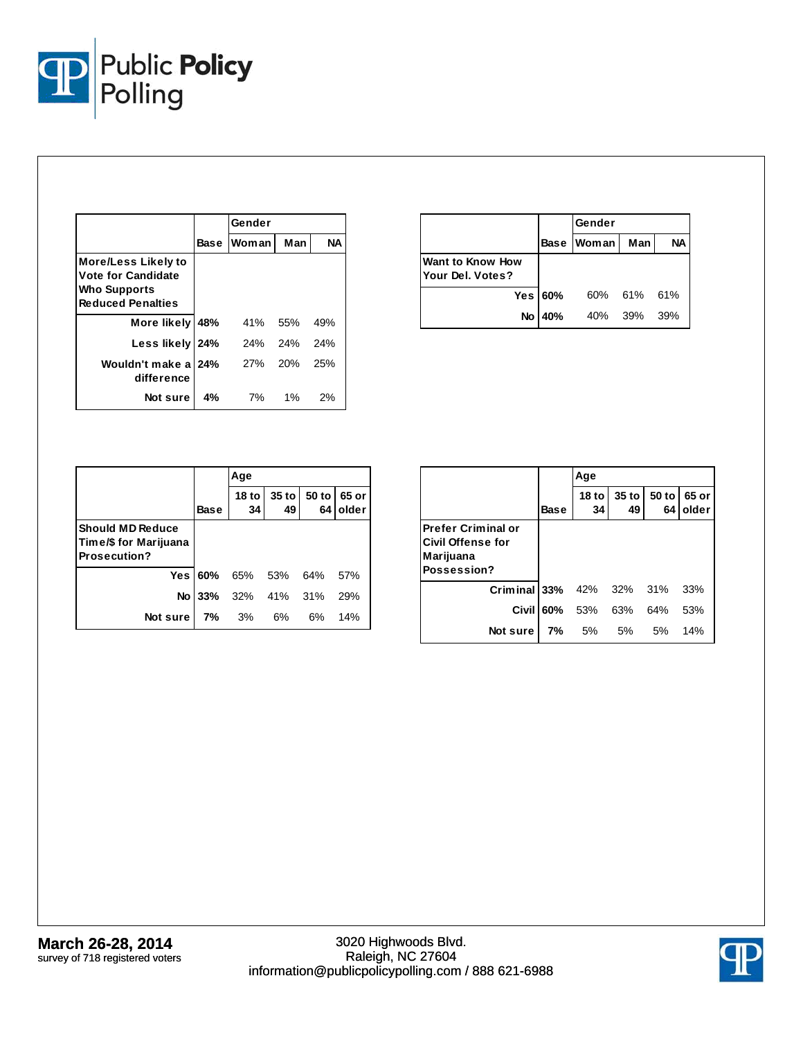

|                                                                                                     |      | Gender |     |           |
|-----------------------------------------------------------------------------------------------------|------|--------|-----|-----------|
|                                                                                                     | Base | Woman  | Man | <b>NA</b> |
| More/Less Likely to<br><b>Vote for Candidate</b><br><b>Who Supports</b><br><b>Reduced Penalties</b> |      |        |     |           |
| More likely 48%                                                                                     |      | 41%    | 55% | 49%       |
| Less likely 24%                                                                                     |      | 24%    | 24% | 24%       |
| Wouldn't make a 24%<br>difference                                                                   |      | 27%    | 20% | 25%       |
| Notsure                                                                                             | 4%   | 7%     | 1%  | 2%        |

|                                      |         | lGender        |             |           |
|--------------------------------------|---------|----------------|-------------|-----------|
|                                      |         | Base Woman Man |             | <b>NA</b> |
| Want to Know How<br>Your Del. Votes? |         |                |             |           |
|                                      | Yes 60% |                | 60% 61% 61% |           |
| No                                   | 40%     | 40% 39%        |             | 39%       |

|                                                                          |                | Age                 |               |                          |                |
|--------------------------------------------------------------------------|----------------|---------------------|---------------|--------------------------|----------------|
|                                                                          | <b>Base</b>    | 18 to $\vert$<br>34 | $35$ to<br>49 | 50 to<br>64 <sub>1</sub> | 65 or<br>older |
| <b>Should MD Reduce</b><br> Time/\$ for Marijuana<br><b>Prosecution?</b> |                |                     |               |                          |                |
|                                                                          | <b>Yes 60%</b> | 65%                 | 53%           | 64%                      | 57%            |
| No l                                                                     | 33%            | 32% 41% 31%         |               |                          | 29%            |
| Not sure                                                                 | 7%             | 3%                  | 6%            | 6%                       | 14%            |

|                                                                            |             | Age                    |                   |             |                |  |
|----------------------------------------------------------------------------|-------------|------------------------|-------------------|-------------|----------------|--|
|                                                                            | <b>Base</b> | 18 <sub>to</sub><br>34 | $35$ to $ $<br>49 | 50 to<br>64 | 65 or<br>older |  |
| <b>Prefer Criminal or</b><br>Civil Offense for<br>Marijuana<br>Possession? |             |                        |                   |             |                |  |
| Criminal 33%                                                               |             | 42%                    | 32% 31%           |             | 33%            |  |
| Civil                                                                      | 60%         | 53%                    | 63%               | 64%         | 53%            |  |
| Not sure                                                                   | 7%          | 5%                     | 5%                | 5%          | 14%            |  |

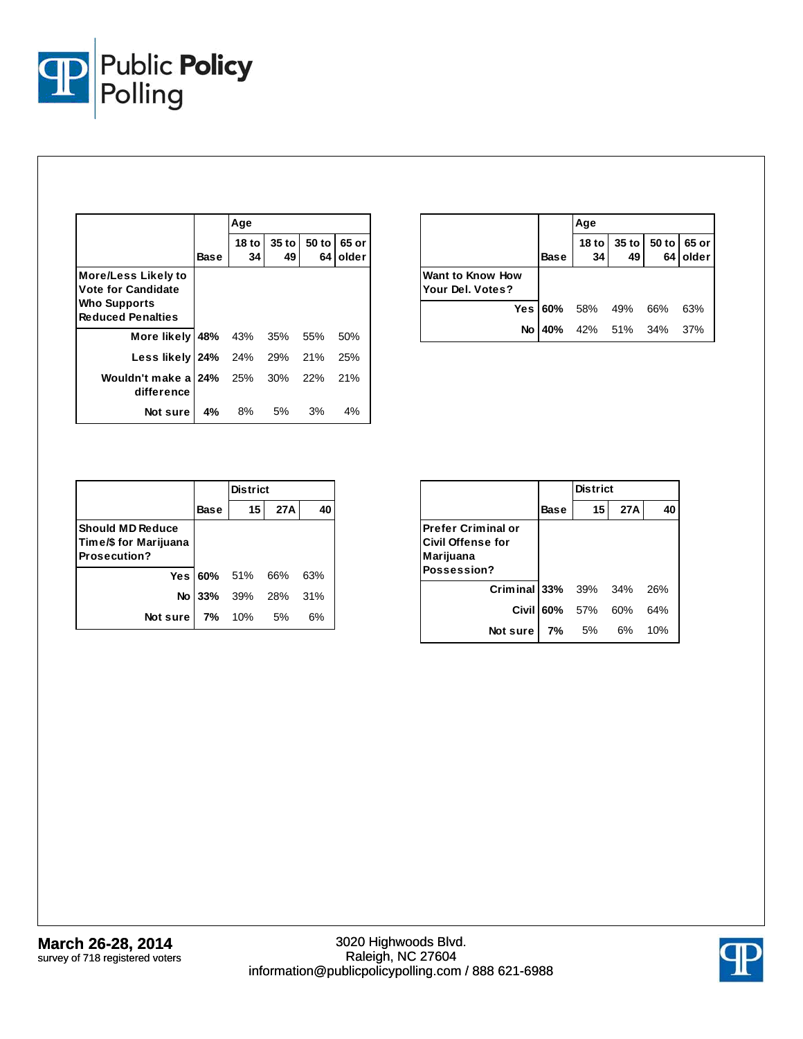

|                                                                                                            | Base | Age           |             |             |                |  |
|------------------------------------------------------------------------------------------------------------|------|---------------|-------------|-------------|----------------|--|
|                                                                                                            |      | $18$ to<br>34 | 35 to<br>49 | 50 to<br>64 | 65 or<br>older |  |
| <b>More/Less Likely to</b><br><b>Vote for Candidate</b><br><b>Who Supports</b><br><b>Reduced Penalties</b> |      |               |             |             |                |  |
| More likely   48% 43% 35% 55%                                                                              |      |               |             |             | 50%            |  |
| Less likely 24% 24% 29% 21%                                                                                |      |               |             |             | 25%            |  |
| Wouldn't make a 24% 25% 30% 22%<br>difference                                                              |      |               |             |             | 21%            |  |
| Notsure                                                                                                    | 4%   | 8%            | 5%          | 3%          | 4%             |  |

|                                      |                | Age             |    |                         |          |
|--------------------------------------|----------------|-----------------|----|-------------------------|----------|
|                                      | <b>Base</b>    | 34 <sub>1</sub> | 49 | 18 to 35 to 50 to 65 or | 64 older |
| Want to Know How<br>Your Del. Votes? |                |                 |    |                         |          |
|                                      | <b>Yes 60%</b> | 58% 49% 66%     |    |                         | 63%      |
| No                                   | 40%            | 42% 51% 34%     |    |                         | -37%     |

|                                                                         |             | <b>District</b> |                    |     |
|-------------------------------------------------------------------------|-------------|-----------------|--------------------|-----|
|                                                                         | <b>Base</b> | 15              | 27A                | 40  |
| <b>Should MD Reduce</b><br>Time/\$ for Marijuana<br><b>Prosecution?</b> |             |                 |                    |     |
|                                                                         |             | Yes 60% 51% 66% |                    | 63% |
|                                                                         |             |                 | No 33% 39% 28% 31% |     |
| Notsure                                                                 | 7% 10%      |                 | .5%                | 6%  |

|                                                                             |      | <b>District</b>   |     |     |
|-----------------------------------------------------------------------------|------|-------------------|-----|-----|
|                                                                             | Base | 15 <sup>1</sup>   | 27A | 40  |
| lPrefer Criminal or<br><b>Civil Offense for</b><br>Marijuana<br>Possession? |      |                   |     |     |
| <b>Criminal 33%</b> 39% 34%                                                 |      |                   |     | 26% |
|                                                                             |      | Civil 60% 57% 60% |     | 64% |
| Not sure                                                                    |      | 7% 5%             | 6%  | 10% |